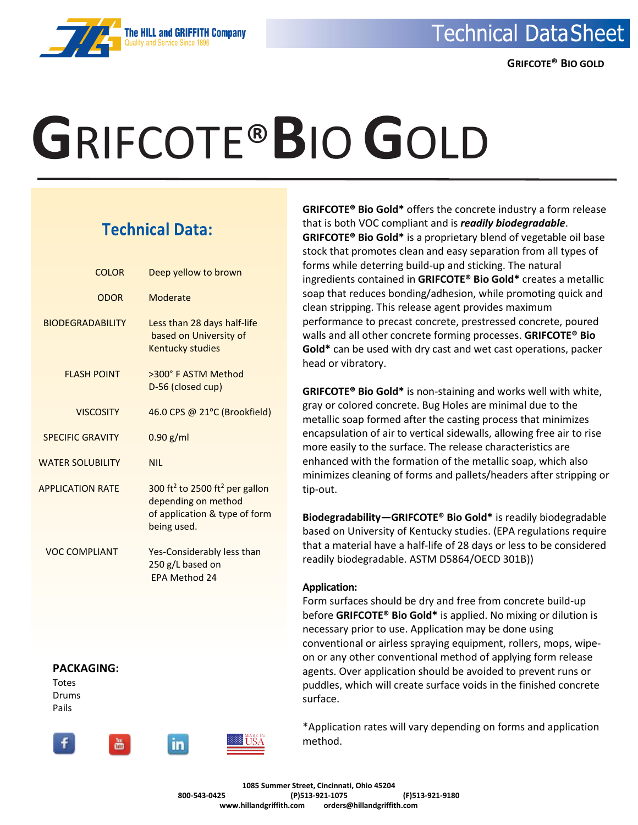

### **The HILL and GRIFFITH Company**

# **G**RIFCOTE®**B**IO **G**OLD

### **Technical Data:**

| <b>COLOR</b>               | Deep yellow to brown                                                                                                          |
|----------------------------|-------------------------------------------------------------------------------------------------------------------------------|
| <b>ODOR</b>                | Moderate                                                                                                                      |
| <b>BIODEGRADABILITY</b>    | Less than 28 days half-life<br>based on University of<br><b>Kentucky studies</b>                                              |
| <b>FLASH POINT</b>         | >300° F ASTM Method<br>D-56 (closed cup)                                                                                      |
| <b>VISCOSITY</b>           | 46.0 CPS @ 21°C (Brookfield)                                                                                                  |
| <b>SPECIFIC GRAVITY</b>    | $0.90$ g/ml                                                                                                                   |
| <b>WATER SOLUBILITY</b>    | <b>NIL</b>                                                                                                                    |
| <b>APPLICATION RATE</b>    | 300 ft <sup>2</sup> to 2500 ft <sup>2</sup> per gallon<br>depending on method<br>of application & type of form<br>being used. |
| <b>VOC COMPLIANT</b>       | Yes-Considerably less than<br>250 g/L based on<br><b>EPA Method 24</b>                                                        |
| <b>PACKAGING:</b><br>Totes |                                                                                                                               |

Drums Pails



**GRIFCOTE® Bio Gold\*** offers the concrete industry a form release that is both VOC compliant and is *readily biodegradable*. **GRIFCOTE® Bio Gold\*** is a proprietary blend of vegetable oil base stock that promotes clean and easy separation from all types of forms while deterring build-up and sticking. The natural ingredients contained in **GRIFCOTE® Bio Gold\*** creates a metallic soap that reduces bonding/adhesion, while promoting quick and clean stripping. This release agent provides maximum performance to precast concrete, prestressed concrete, poured walls and all other concrete forming processes. **GRIFCOTE® Bio Gold\*** can be used with dry cast and wet cast operations, packer head or vibratory.

**GRIFCOTE® Bio Gold\*** is non-staining and works well with white, gray or colored concrete. Bug Holes are minimal due to the metallic soap formed after the casting process that minimizes encapsulation of air to vertical sidewalls, allowing free air to rise more easily to the surface. The release characteristics are enhanced with the formation of the metallic soap, which also minimizes cleaning of forms and pallets/headers after stripping or tip-out.

**Biodegradability—GRIFCOTE® Bio Gold\*** is readily biodegradable based on University of Kentucky studies. (EPA regulations require that a material have a half-life of 28 days or less to be considered readily biodegradable. ASTM D5864/OECD 301B))

#### **Application:**

Form surfaces should be dry and free from concrete build-up before **GRIFCOTE® Bio Gold\*** is applied. No mixing or dilution is necessary prior to use. Application may be done using conventional or airless spraying equipment, rollers, mops, wipeon or any other conventional method of applying form release agents. Over application should be avoided to prevent runs or puddles, which will create surface voids in the finished concrete surface.

\*Application rates will vary depending on forms and application method.